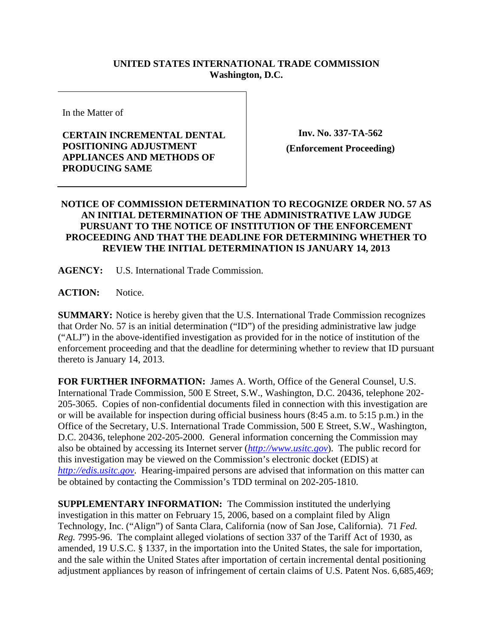## **UNITED STATES INTERNATIONAL TRADE COMMISSION Washington, D.C.**

In the Matter of

## **CERTAIN INCREMENTAL DENTAL POSITIONING ADJUSTMENT APPLIANCES AND METHODS OF PRODUCING SAME**

**Inv. No. 337-TA-562 (Enforcement Proceeding)**

## **NOTICE OF COMMISSION DETERMINATION TO RECOGNIZE ORDER NO. 57 AS AN INITIAL DETERMINATION OF THE ADMINISTRATIVE LAW JUDGE PURSUANT TO THE NOTICE OF INSTITUTION OF THE ENFORCEMENT PROCEEDING AND THAT THE DEADLINE FOR DETERMINING WHETHER TO REVIEW THE INITIAL DETERMINATION IS JANUARY 14, 2013**

**AGENCY:** U.S. International Trade Commission.

**ACTION:** Notice.

**SUMMARY:** Notice is hereby given that the U.S. International Trade Commission recognizes that Order No. 57 is an initial determination ("ID") of the presiding administrative law judge ("ALJ") in the above-identified investigation as provided for in the notice of institution of the enforcement proceeding and that the deadline for determining whether to review that ID pursuant thereto is January 14, 2013.

**FOR FURTHER INFORMATION:** James A. Worth, Office of the General Counsel, U.S. International Trade Commission, 500 E Street, S.W., Washington, D.C. 20436, telephone 202- 205-3065. Copies of non-confidential documents filed in connection with this investigation are or will be available for inspection during official business hours (8:45 a.m. to 5:15 p.m.) in the Office of the Secretary, U.S. International Trade Commission, 500 E Street, S.W., Washington, D.C. 20436, telephone 202-205-2000. General information concerning the Commission may also be obtained by accessing its Internet server (*http://www.usitc.gov*). The public record for this investigation may be viewed on the Commission's electronic docket (EDIS) at *http://edis.usitc.gov*. Hearing-impaired persons are advised that information on this matter can be obtained by contacting the Commission's TDD terminal on 202-205-1810.

**SUPPLEMENTARY INFORMATION:** The Commission instituted the underlying investigation in this matter on February 15, 2006, based on a complaint filed by Align Technology, Inc. ("Align") of Santa Clara, California (now of San Jose, California). 71 *Fed. Reg.* 7995-96. The complaint alleged violations of section 337 of the Tariff Act of 1930, as amended, 19 U.S.C. § 1337, in the importation into the United States, the sale for importation, and the sale within the United States after importation of certain incremental dental positioning adjustment appliances by reason of infringement of certain claims of U.S. Patent Nos. 6,685,469;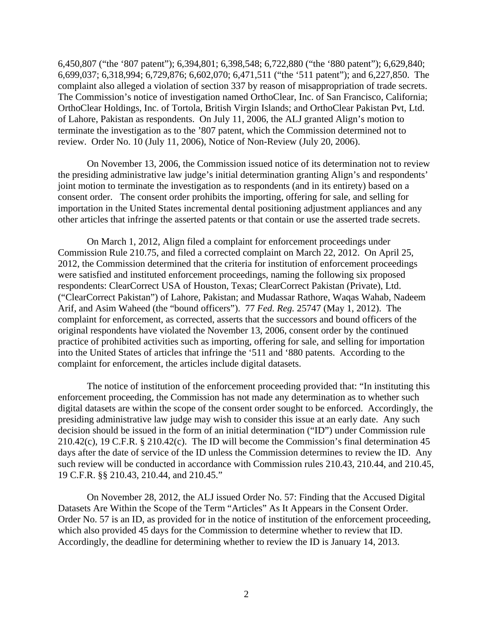6,450,807 ("the '807 patent"); 6,394,801; 6,398,548; 6,722,880 ("the '880 patent"); 6,629,840; 6,699,037; 6,318,994; 6,729,876; 6,602,070; 6,471,511 ("the '511 patent"); and 6,227,850. The complaint also alleged a violation of section 337 by reason of misappropriation of trade secrets. The Commission's notice of investigation named OrthoClear, Inc. of San Francisco, California; OrthoClear Holdings, Inc. of Tortola, British Virgin Islands; and OrthoClear Pakistan Pvt, Ltd. of Lahore, Pakistan as respondents. On July 11, 2006, the ALJ granted Align's motion to terminate the investigation as to the '807 patent, which the Commission determined not to review. Order No. 10 (July 11, 2006), Notice of Non-Review (July 20, 2006).

 On November 13, 2006, the Commission issued notice of its determination not to review the presiding administrative law judge's initial determination granting Align's and respondents' joint motion to terminate the investigation as to respondents (and in its entirety) based on a consent order. The consent order prohibits the importing, offering for sale, and selling for importation in the United States incremental dental positioning adjustment appliances and any other articles that infringe the asserted patents or that contain or use the asserted trade secrets.

On March 1, 2012, Align filed a complaint for enforcement proceedings under Commission Rule 210.75, and filed a corrected complaint on March 22, 2012. On April 25, 2012, the Commission determined that the criteria for institution of enforcement proceedings were satisfied and instituted enforcement proceedings, naming the following six proposed respondents: ClearCorrect USA of Houston, Texas; ClearCorrect Pakistan (Private), Ltd. ("ClearCorrect Pakistan") of Lahore, Pakistan; and Mudassar Rathore, Waqas Wahab, Nadeem Arif, and Asim Waheed (the "bound officers"). 77 *Fed. Reg.* 25747 (May 1, 2012). The complaint for enforcement, as corrected, asserts that the successors and bound officers of the original respondents have violated the November 13, 2006, consent order by the continued practice of prohibited activities such as importing, offering for sale, and selling for importation into the United States of articles that infringe the '511 and '880 patents. According to the complaint for enforcement, the articles include digital datasets.

 The notice of institution of the enforcement proceeding provided that: "In instituting this enforcement proceeding, the Commission has not made any determination as to whether such digital datasets are within the scope of the consent order sought to be enforced. Accordingly, the presiding administrative law judge may wish to consider this issue at an early date. Any such decision should be issued in the form of an initial determination ("ID") under Commission rule 210.42(c), 19 C.F.R. § 210.42(c). The ID will become the Commission's final determination 45 days after the date of service of the ID unless the Commission determines to review the ID. Any such review will be conducted in accordance with Commission rules 210.43, 210.44, and 210.45, 19 C.F.R. §§ 210.43, 210.44, and 210.45."

On November 28, 2012, the ALJ issued Order No. 57: Finding that the Accused Digital Datasets Are Within the Scope of the Term "Articles" As It Appears in the Consent Order. Order No. 57 is an ID, as provided for in the notice of institution of the enforcement proceeding, which also provided 45 days for the Commission to determine whether to review that ID. Accordingly, the deadline for determining whether to review the ID is January 14, 2013.